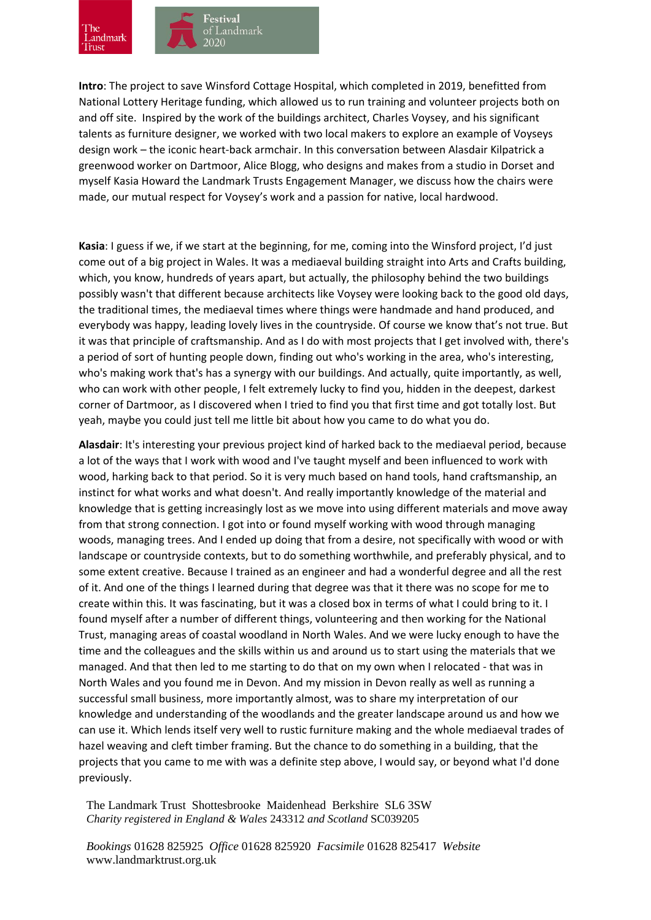

**Intro**: The project to save Winsford Cottage Hospital, which completed in 2019, benefitted from National Lottery Heritage funding, which allowed us to run training and volunteer projects both on and off site. Inspired by the work of the buildings architect, Charles Voysey, and his significant talents as furniture designer, we worked with two local makers to explore an example of Voyseys design work – the iconic heart-back armchair. In this conversation between Alasdair Kilpatrick a greenwood worker on Dartmoor, Alice Blogg, who designs and makes from a studio in Dorset and myself Kasia Howard the Landmark Trusts Engagement Manager, we discuss how the chairs were made, our mutual respect for Voysey's work and a passion for native, local hardwood.

**Kasia**: I guess if we, if we start at the beginning, for me, coming into the Winsford project, I'd just come out of a big project in Wales. It was a mediaeval building straight into Arts and Crafts building, which, you know, hundreds of years apart, but actually, the philosophy behind the two buildings possibly wasn't that different because architects like Voysey were looking back to the good old days, the traditional times, the mediaeval times where things were handmade and hand produced, and everybody was happy, leading lovely lives in the countryside. Of course we know that's not true. But it was that principle of craftsmanship. And as I do with most projects that I get involved with, there's a period of sort of hunting people down, finding out who's working in the area, who's interesting, who's making work that's has a synergy with our buildings. And actually, quite importantly, as well, who can work with other people, I felt extremely lucky to find you, hidden in the deepest, darkest corner of Dartmoor, as I discovered when I tried to find you that first time and got totally lost. But yeah, maybe you could just tell me little bit about how you came to do what you do.

**Alasdair**: It's interesting your previous project kind of harked back to the mediaeval period, because a lot of the ways that I work with wood and I've taught myself and been influenced to work with wood, harking back to that period. So it is very much based on hand tools, hand craftsmanship, an instinct for what works and what doesn't. And really importantly knowledge of the material and knowledge that is getting increasingly lost as we move into using different materials and move away from that strong connection. I got into or found myself working with wood through managing woods, managing trees. And I ended up doing that from a desire, not specifically with wood or with landscape or countryside contexts, but to do something worthwhile, and preferably physical, and to some extent creative. Because I trained as an engineer and had a wonderful degree and all the rest of it. And one of the things I learned during that degree was that it there was no scope for me to create within this. It was fascinating, but it was a closed box in terms of what I could bring to it. I found myself after a number of different things, volunteering and then working for the National Trust, managing areas of coastal woodland in North Wales. And we were lucky enough to have the time and the colleagues and the skills within us and around us to start using the materials that we managed. And that then led to me starting to do that on my own when I relocated - that was in North Wales and you found me in Devon. And my mission in Devon really as well as running a successful small business, more importantly almost, was to share my interpretation of our knowledge and understanding of the woodlands and the greater landscape around us and how we can use it. Which lends itself very well to rustic furniture making and the whole mediaeval trades of hazel weaving and cleft timber framing. But the chance to do something in a building, that the projects that you came to me with was a definite step above, I would say, or beyond what I'd done previously.

The Landmark Trust Shottesbrooke Maidenhead Berkshire SL6 3SW *Charity registered in England & Wales* 243312 *and Scotland* SC039205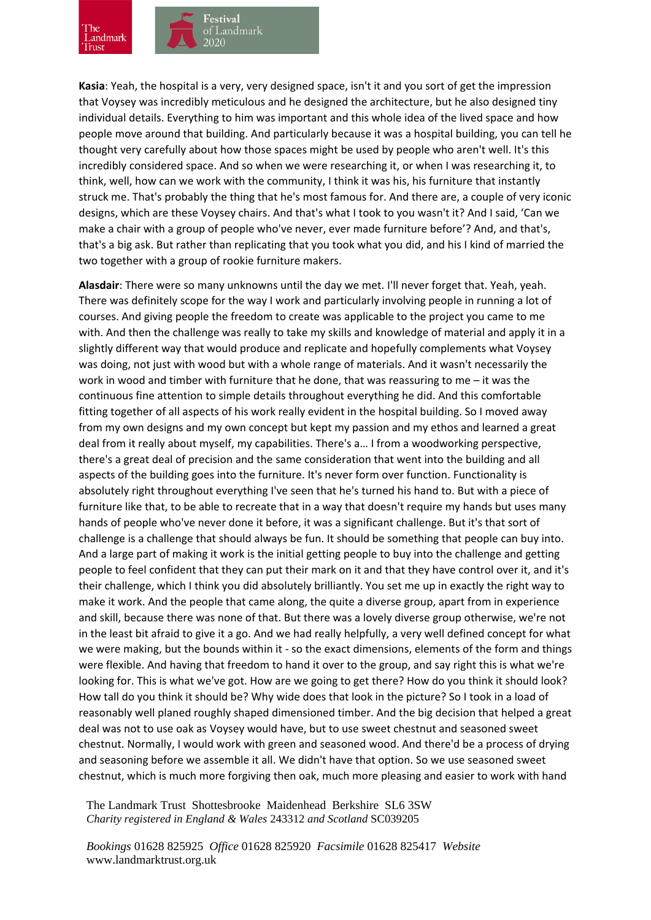

**Kasia**: Yeah, the hospital is a very, very designed space, isn't it and you sort of get the impression that Voysey was incredibly meticulous and he designed the architecture, but he also designed tiny individual details. Everything to him was important and this whole idea of the lived space and how people move around that building. And particularly because it was a hospital building, you can tell he thought very carefully about how those spaces might be used by people who aren't well. It's this incredibly considered space. And so when we were researching it, or when I was researching it, to think, well, how can we work with the community, I think it was his, his furniture that instantly struck me. That's probably the thing that he's most famous for. And there are, a couple of very iconic designs, which are these Voysey chairs. And that's what I took to you wasn't it? And I said, 'Can we make a chair with a group of people who've never, ever made furniture before'? And, and that's, that's a big ask. But rather than replicating that you took what you did, and his I kind of married the two together with a group of rookie furniture makers.

**Alasdair**: There were so many unknowns until the day we met. I'll never forget that. Yeah, yeah. There was definitely scope for the way I work and particularly involving people in running a lot of courses. And giving people the freedom to create was applicable to the project you came to me with. And then the challenge was really to take my skills and knowledge of material and apply it in a slightly different way that would produce and replicate and hopefully complements what Voysey was doing, not just with wood but with a whole range of materials. And it wasn't necessarily the work in wood and timber with furniture that he done, that was reassuring to me – it was the continuous fine attention to simple details throughout everything he did. And this comfortable fitting together of all aspects of his work really evident in the hospital building. So I moved away from my own designs and my own concept but kept my passion and my ethos and learned a great deal from it really about myself, my capabilities. There's a… I from a woodworking perspective, there's a great deal of precision and the same consideration that went into the building and all aspects of the building goes into the furniture. It's never form over function. Functionality is absolutely right throughout everything I've seen that he's turned his hand to. But with a piece of furniture like that, to be able to recreate that in a way that doesn't require my hands but uses many hands of people who've never done it before, it was a significant challenge. But it's that sort of challenge is a challenge that should always be fun. It should be something that people can buy into. And a large part of making it work is the initial getting people to buy into the challenge and getting people to feel confident that they can put their mark on it and that they have control over it, and it's their challenge, which I think you did absolutely brilliantly. You set me up in exactly the right way to make it work. And the people that came along, the quite a diverse group, apart from in experience and skill, because there was none of that. But there was a lovely diverse group otherwise, we're not in the least bit afraid to give it a go. And we had really helpfully, a very well defined concept for what we were making, but the bounds within it - so the exact dimensions, elements of the form and things were flexible. And having that freedom to hand it over to the group, and say right this is what we're looking for. This is what we've got. How are we going to get there? How do you think it should look? How tall do you think it should be? Why wide does that look in the picture? So I took in a load of reasonably well planed roughly shaped dimensioned timber. And the big decision that helped a great deal was not to use oak as Voysey would have, but to use sweet chestnut and seasoned sweet chestnut. Normally, I would work with green and seasoned wood. And there'd be a process of drying and seasoning before we assemble it all. We didn't have that option. So we use seasoned sweet chestnut, which is much more forgiving then oak, much more pleasing and easier to work with hand

The Landmark Trust Shottesbrooke Maidenhead Berkshire SL6 3SW *Charity registered in England & Wales* 243312 *and Scotland* SC039205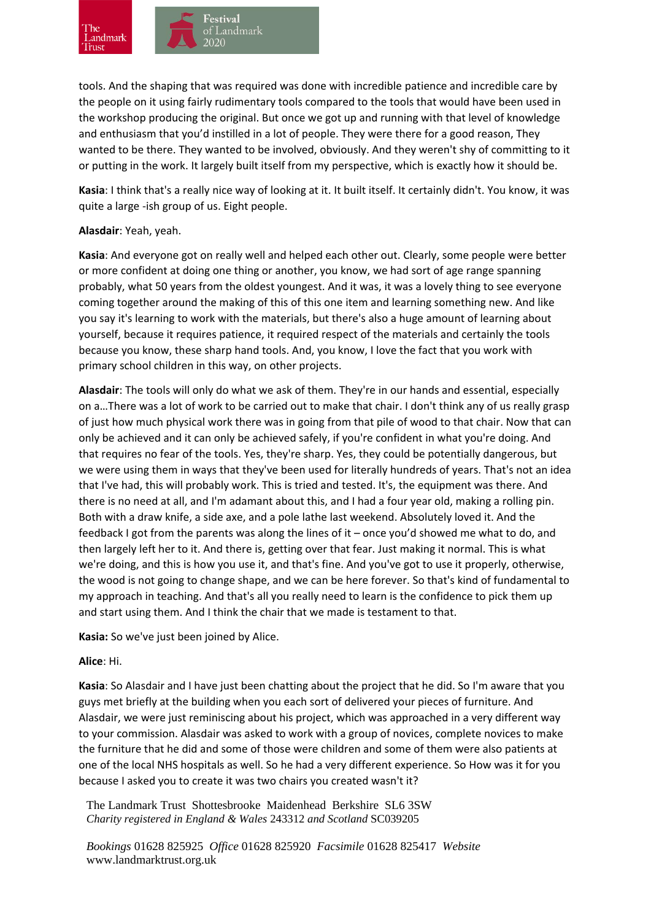

tools. And the shaping that was required was done with incredible patience and incredible care by the people on it using fairly rudimentary tools compared to the tools that would have been used in the workshop producing the original. But once we got up and running with that level of knowledge and enthusiasm that you'd instilled in a lot of people. They were there for a good reason, They wanted to be there. They wanted to be involved, obviously. And they weren't shy of committing to it or putting in the work. It largely built itself from my perspective, which is exactly how it should be.

**Kasia**: I think that's a really nice way of looking at it. It built itself. It certainly didn't. You know, it was quite a large -ish group of us. Eight people.

## **Alasdair**: Yeah, yeah.

**Kasia**: And everyone got on really well and helped each other out. Clearly, some people were better or more confident at doing one thing or another, you know, we had sort of age range spanning probably, what 50 years from the oldest youngest. And it was, it was a lovely thing to see everyone coming together around the making of this of this one item and learning something new. And like you say it's learning to work with the materials, but there's also a huge amount of learning about yourself, because it requires patience, it required respect of the materials and certainly the tools because you know, these sharp hand tools. And, you know, I love the fact that you work with primary school children in this way, on other projects.

**Alasdair**: The tools will only do what we ask of them. They're in our hands and essential, especially on a…There was a lot of work to be carried out to make that chair. I don't think any of us really grasp of just how much physical work there was in going from that pile of wood to that chair. Now that can only be achieved and it can only be achieved safely, if you're confident in what you're doing. And that requires no fear of the tools. Yes, they're sharp. Yes, they could be potentially dangerous, but we were using them in ways that they've been used for literally hundreds of years. That's not an idea that I've had, this will probably work. This is tried and tested. It's, the equipment was there. And there is no need at all, and I'm adamant about this, and I had a four year old, making a rolling pin. Both with a draw knife, a side axe, and a pole lathe last weekend. Absolutely loved it. And the feedback I got from the parents was along the lines of it – once you'd showed me what to do, and then largely left her to it. And there is, getting over that fear. Just making it normal. This is what we're doing, and this is how you use it, and that's fine. And you've got to use it properly, otherwise, the wood is not going to change shape, and we can be here forever. So that's kind of fundamental to my approach in teaching. And that's all you really need to learn is the confidence to pick them up and start using them. And I think the chair that we made is testament to that.

**Kasia:** So we've just been joined by Alice.

## **Alice**: Hi.

**Kasia**: So Alasdair and I have just been chatting about the project that he did. So I'm aware that you guys met briefly at the building when you each sort of delivered your pieces of furniture. And Alasdair, we were just reminiscing about his project, which was approached in a very different way to your commission. Alasdair was asked to work with a group of novices, complete novices to make the furniture that he did and some of those were children and some of them were also patients at one of the local NHS hospitals as well. So he had a very different experience. So How was it for you because I asked you to create it was two chairs you created wasn't it?

The Landmark Trust Shottesbrooke Maidenhead Berkshire SL6 3SW *Charity registered in England & Wales* 243312 *and Scotland* SC039205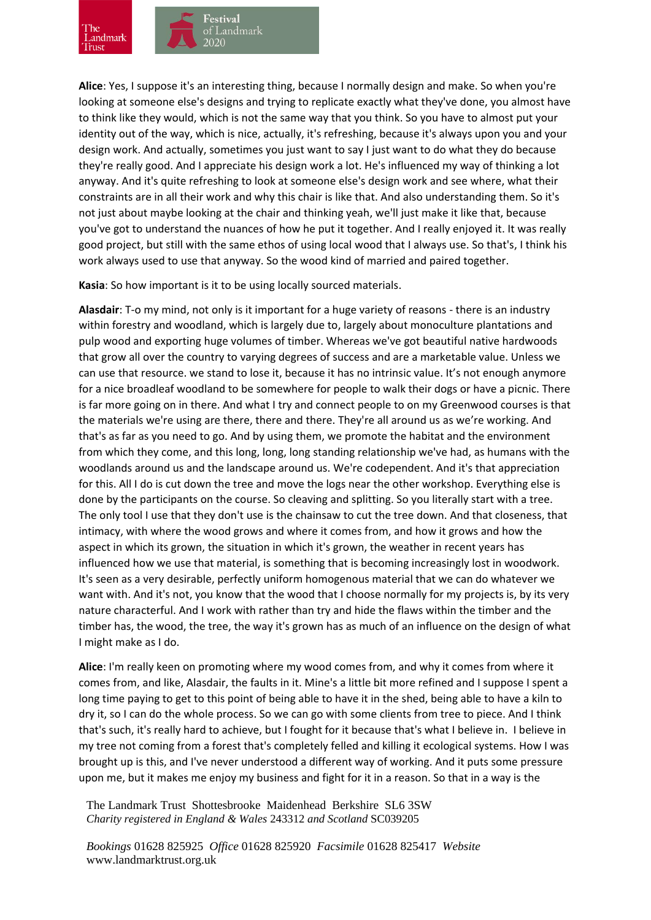

**Alice**: Yes, I suppose it's an interesting thing, because I normally design and make. So when you're looking at someone else's designs and trying to replicate exactly what they've done, you almost have to think like they would, which is not the same way that you think. So you have to almost put your identity out of the way, which is nice, actually, it's refreshing, because it's always upon you and your design work. And actually, sometimes you just want to say I just want to do what they do because they're really good. And I appreciate his design work a lot. He's influenced my way of thinking a lot anyway. And it's quite refreshing to look at someone else's design work and see where, what their constraints are in all their work and why this chair is like that. And also understanding them. So it's not just about maybe looking at the chair and thinking yeah, we'll just make it like that, because you've got to understand the nuances of how he put it together. And I really enjoyed it. It was really good project, but still with the same ethos of using local wood that I always use. So that's, I think his work always used to use that anyway. So the wood kind of married and paired together.

**Kasia**: So how important is it to be using locally sourced materials.

**Alasdair**: T-o my mind, not only is it important for a huge variety of reasons - there is an industry within forestry and woodland, which is largely due to, largely about monoculture plantations and pulp wood and exporting huge volumes of timber. Whereas we've got beautiful native hardwoods that grow all over the country to varying degrees of success and are a marketable value. Unless we can use that resource. we stand to lose it, because it has no intrinsic value. It's not enough anymore for a nice broadleaf woodland to be somewhere for people to walk their dogs or have a picnic. There is far more going on in there. And what I try and connect people to on my Greenwood courses is that the materials we're using are there, there and there. They're all around us as we're working. And that's as far as you need to go. And by using them, we promote the habitat and the environment from which they come, and this long, long, long standing relationship we've had, as humans with the woodlands around us and the landscape around us. We're codependent. And it's that appreciation for this. All I do is cut down the tree and move the logs near the other workshop. Everything else is done by the participants on the course. So cleaving and splitting. So you literally start with a tree. The only tool I use that they don't use is the chainsaw to cut the tree down. And that closeness, that intimacy, with where the wood grows and where it comes from, and how it grows and how the aspect in which its grown, the situation in which it's grown, the weather in recent years has influenced how we use that material, is something that is becoming increasingly lost in woodwork. It's seen as a very desirable, perfectly uniform homogenous material that we can do whatever we want with. And it's not, you know that the wood that I choose normally for my projects is, by its very nature characterful. And I work with rather than try and hide the flaws within the timber and the timber has, the wood, the tree, the way it's grown has as much of an influence on the design of what I might make as I do.

**Alice**: I'm really keen on promoting where my wood comes from, and why it comes from where it comes from, and like, Alasdair, the faults in it. Mine's a little bit more refined and I suppose I spent a long time paying to get to this point of being able to have it in the shed, being able to have a kiln to dry it, so I can do the whole process. So we can go with some clients from tree to piece. And I think that's such, it's really hard to achieve, but I fought for it because that's what I believe in. I believe in my tree not coming from a forest that's completely felled and killing it ecological systems. How I was brought up is this, and I've never understood a different way of working. And it puts some pressure upon me, but it makes me enjoy my business and fight for it in a reason. So that in a way is the

The Landmark Trust Shottesbrooke Maidenhead Berkshire SL6 3SW *Charity registered in England & Wales* 243312 *and Scotland* SC039205